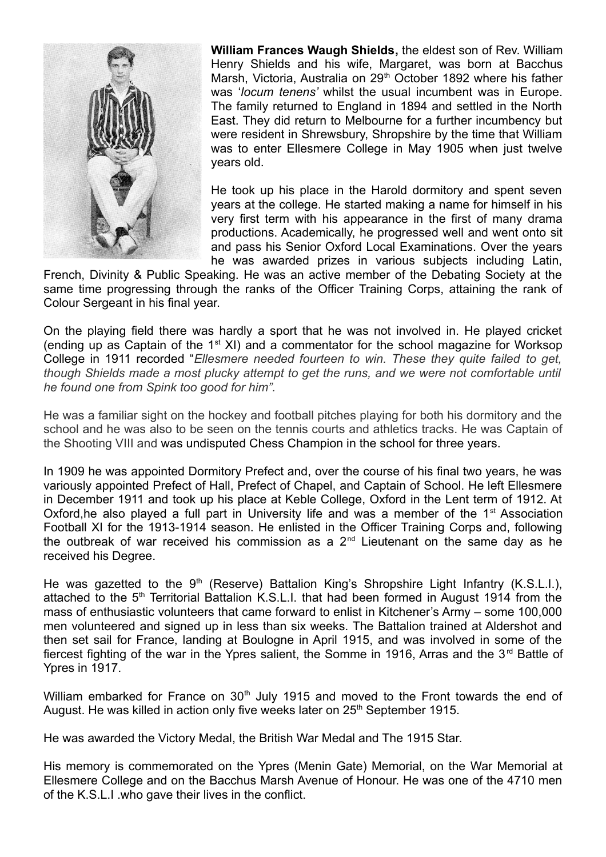

**William Frances Waugh Shields,** the eldest son of Rev. William Henry Shields and his wife, Margaret, was born at Bacchus Marsh, Victoria, Australia on 29<sup>th</sup> October 1892 where his father was '*locum tenens'* whilst the usual incumbent was in Europe. The family returned to England in 1894 and settled in the North East. They did return to Melbourne for a further incumbency but were resident in Shrewsbury, Shropshire by the time that William was to enter Ellesmere College in May 1905 when just twelve years old.

He took up his place in the Harold dormitory and spent seven years at the college. He started making a name for himself in his very first term with his appearance in the first of many drama productions. Academically, he progressed well and went onto sit and pass his Senior Oxford Local Examinations. Over the years he was awarded prizes in various subjects including Latin,

French, Divinity & Public Speaking. He was an active member of the Debating Society at the same time progressing through the ranks of the Officer Training Corps, attaining the rank of Colour Sergeant in his final year.

On the playing field there was hardly a sport that he was not involved in. He played cricket (ending up as Captain of the  $1<sup>st</sup> XI$ ) and a commentator for the school magazine for Worksop College in 1911 recorded "*Ellesmere needed fourteen to win. These they quite failed to get, though Shields made a most plucky attempt to get the runs, and we were not comfortable until he found one from Spink too good for him".*

He was a familiar sight on the hockey and football pitches playing for both his dormitory and the school and he was also to be seen on the tennis courts and athletics tracks. He was Captain of the Shooting VIII and was undisputed Chess Champion in the school for three years.

In 1909 he was appointed Dormitory Prefect and, over the course of his final two years, he was variously appointed Prefect of Hall, Prefect of Chapel, and Captain of School. He left Ellesmere in December 1911 and took up his place at Keble College, Oxford in the Lent term of 1912. At Oxford, he also played a full part in University life and was a member of the 1<sup>st</sup> Association Football XI for the 1913-1914 season. He enlisted in the Officer Training Corps and, following the outbreak of war received his commission as a  $2<sup>nd</sup>$  Lieutenant on the same day as he received his Degree.

He was gazetted to the  $9<sup>th</sup>$  (Reserve) Battalion King's Shropshire Light Infantry (K.S.L.I.), attached to the 5<sup>th</sup> Territorial Battalion K.S.L.I. that had been formed in August 1914 from the mass of enthusiastic volunteers that came forward to enlist in Kitchener's Army – some 100,000 men volunteered and signed up in less than six weeks. The Battalion trained at Aldershot and then set sail for France, landing at Boulogne in April 1915, and was involved in some of the fiercest fighting of the war in the Ypres salient, the Somme in 1916, Arras and the  $3<sup>rd</sup>$  Battle of Ypres in 1917.

William embarked for France on 30<sup>th</sup> July 1915 and moved to the Front towards the end of August. He was killed in action only five weeks later on 25<sup>th</sup> September 1915.

He was awarded the Victory Medal, the British War Medal and The 1915 Star.

His memory is commemorated on the Ypres (Menin Gate) Memorial, on the War Memorial at Ellesmere College and on the Bacchus Marsh Avenue of Honour. He was one of the 4710 men of the K.S.L.I .who gave their lives in the conflict.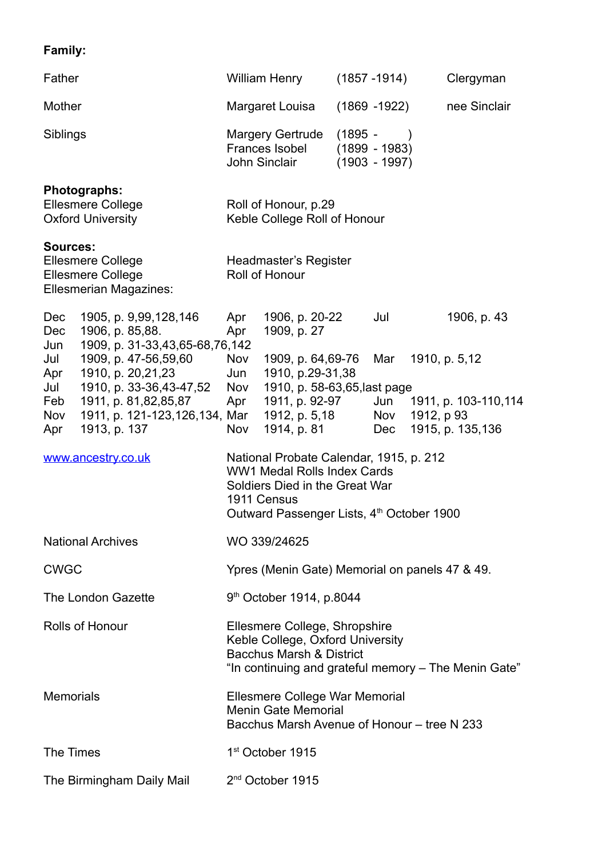## **Family:**

| Father                                                                                                                                                                                         | <b>William Henry</b>                                                                                               |                                                                                                                                                                                         |         | $(1857 - 1914)$                    |            | Clergyman                                            |
|------------------------------------------------------------------------------------------------------------------------------------------------------------------------------------------------|--------------------------------------------------------------------------------------------------------------------|-----------------------------------------------------------------------------------------------------------------------------------------------------------------------------------------|---------|------------------------------------|------------|------------------------------------------------------|
| Mother                                                                                                                                                                                         | Margaret Louisa                                                                                                    |                                                                                                                                                                                         |         | $(1869 - 1922)$                    |            | nee Sinclair                                         |
| Siblings                                                                                                                                                                                       | <b>Margery Gertrude</b><br>Frances Isobel<br>John Sinclair                                                         |                                                                                                                                                                                         | (1895 - | $(1899 - 1983)$<br>$(1903 - 1997)$ |            |                                                      |
| <b>Photographs:</b><br><b>Ellesmere College</b><br><b>Oxford University</b>                                                                                                                    | Roll of Honour, p.29<br>Keble College Roll of Honour                                                               |                                                                                                                                                                                         |         |                                    |            |                                                      |
| <b>Sources:</b><br><b>Ellesmere College</b><br><b>Ellesmere College</b><br>Ellesmerian Magazines:                                                                                              | Headmaster's Register<br>Roll of Honour                                                                            |                                                                                                                                                                                         |         |                                    |            |                                                      |
| Dec<br>1905, p. 9,99,128,146<br>1906, p. 85,88.<br>Dec<br>Jun<br>1909, p. 31-33,43,65-68,76,142<br>Jul<br>1909, p. 47-56,59,60<br>1910, p. 20, 21, 23<br>Apr<br>1910, p. 33-36,43-47,52<br>Jul | Apr<br>Apr                                                                                                         | 1906, p. 20-22<br>1909, p. 27                                                                                                                                                           |         | Jul                                |            | 1906, p. 43                                          |
|                                                                                                                                                                                                | Nov<br>Jun<br>Nov                                                                                                  | 1909, p. 64,69-76<br>1910, p.29-31,38<br>1910, p. 58-63,65, last page                                                                                                                   |         | Mar                                |            | 1910, p. 5,12                                        |
| Feb<br>1911, p. 81,82,85,87<br>1911, p. 121-123, 126, 134, Mar<br>Nov<br>1913, p. 137<br>Apr                                                                                                   | Apr<br>Nov                                                                                                         | 1911, p. 92-97<br>1912, p. 5,18<br>1914, p. 81                                                                                                                                          |         | Jun<br>Nov<br>Dec                  | 1912, p 93 | 1911, p. 103-110, 114<br>1915, p. 135, 136           |
| www.ancestry.co.uk                                                                                                                                                                             |                                                                                                                    | National Probate Calendar, 1915, p. 212<br><b>WW1 Medal Rolls Index Cards</b><br>Soldiers Died in the Great War<br>1911 Census<br>Outward Passenger Lists, 4 <sup>th</sup> October 1900 |         |                                    |            |                                                      |
| <b>National Archives</b>                                                                                                                                                                       |                                                                                                                    | WO 339/24625                                                                                                                                                                            |         |                                    |            |                                                      |
| <b>CWGC</b>                                                                                                                                                                                    |                                                                                                                    | Ypres (Menin Gate) Memorial on panels 47 & 49.                                                                                                                                          |         |                                    |            |                                                      |
| The London Gazette                                                                                                                                                                             |                                                                                                                    | 9 <sup>th</sup> October 1914, p.8044                                                                                                                                                    |         |                                    |            |                                                      |
| Rolls of Honour                                                                                                                                                                                |                                                                                                                    | Ellesmere College, Shropshire<br>Keble College, Oxford University<br><b>Bacchus Marsh &amp; District</b>                                                                                |         |                                    |            | "In continuing and grateful memory – The Menin Gate" |
| <b>Memorials</b>                                                                                                                                                                               | <b>Ellesmere College War Memorial</b><br><b>Menin Gate Memorial</b><br>Bacchus Marsh Avenue of Honour - tree N 233 |                                                                                                                                                                                         |         |                                    |            |                                                      |
| The Times                                                                                                                                                                                      | 1 <sup>st</sup> October 1915                                                                                       |                                                                                                                                                                                         |         |                                    |            |                                                      |
| The Birmingham Daily Mail                                                                                                                                                                      |                                                                                                                    | 2 <sup>nd</sup> October 1915                                                                                                                                                            |         |                                    |            |                                                      |